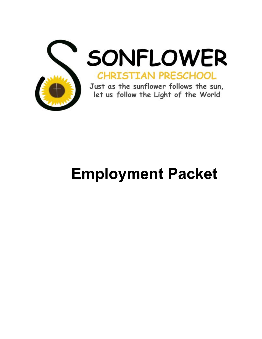

SONFLOWER **CHRISTIAN PRESCHOOL** 

Just as the sunflower follows the sun, let us follow the Light of the World

# **Employment Packet**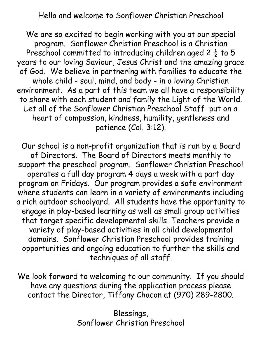Hello and welcome to Sonflower Christian Preschool

We are so excited to begin working with you at our special program. Sonflower Christian Preschool is a Christian Preschool committed to introducing children aged 2  $\frac{1}{2}$  to 5 years to our loving Saviour, Jesus Christ and the amazing grace of God. We believe in partnering with families to educate the whole child - soul, mind, and body - in a loving Christian environment. As a part of this team we all have a responsibility to share with each student and family the Light of the World. Let all of the Sonflower Christian Preschool Staff put on a heart of compassion, kindness, humility, gentleness and patience (Col. 3:12).

Our school is a non-profit organization that is ran by a Board of Directors. The Board of Directors meets monthly to support the preschool program. Sonflower Christian Preschool operates a full day program 4 days a week with a part day program on Fridays. Our program provides a safe environment where students can learn in a variety of environments including a rich outdoor schoolyard. All students have the opportunity to engage in play-based learning as well as small group activities that target specific developmental skills. Teachers provide a variety of play-based activities in all child developmental domains. Sonflower Christian Preschool provides training opportunities and ongoing education to further the skills and techniques of all staff.

We look forward to welcoming to our community. If you should have any questions during the application process please contact the Director, Tiffany Chacon at (970) 289-2800.

> Blessings, Sonflower Christian Preschool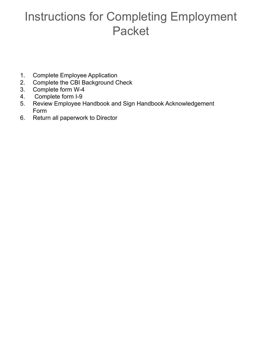### Instructions for Completing Employment Packet

- 1. Complete Employee Application
- 2. Complete the CBI Background Check
- 3. Complete form W-4
- 4. Complete form I-9
- 5. Review Employee Handbook and Sign Handbook Acknowledgement Form
- 6. Return all paperwork to Director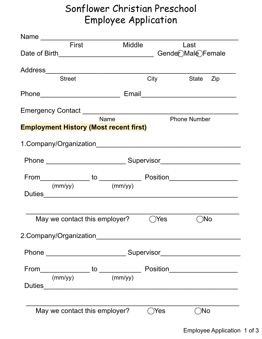### Sonflower Christian Preschool Employee Application

| Name $\frac{1}{\sqrt{1-\frac{1}{2}}\cdot\frac{1}{\sqrt{1-\frac{1}{2}}}}$ |                                               |        |                |                     |
|--------------------------------------------------------------------------|-----------------------------------------------|--------|----------------|---------------------|
|                                                                          | <b>First</b>                                  | Middle |                | Last                |
|                                                                          |                                               |        |                | Gender Male Female  |
|                                                                          |                                               |        |                |                     |
|                                                                          | <b>Street</b>                                 |        | City           | State Zip           |
|                                                                          |                                               |        |                |                     |
|                                                                          | Phone_________________________                |        |                |                     |
|                                                                          |                                               |        |                |                     |
|                                                                          | <b>Name</b>                                   |        |                | <b>Phone Number</b> |
|                                                                          | <b>Employment History (Most recent first)</b> |        |                |                     |
|                                                                          |                                               |        |                |                     |
|                                                                          | 1.Company/Organization                        |        |                |                     |
|                                                                          |                                               |        |                |                     |
|                                                                          |                                               |        |                |                     |
|                                                                          |                                               |        |                |                     |
|                                                                          | $(mm/yy)$ (mm/yy)                             |        |                |                     |
|                                                                          |                                               |        |                |                     |
|                                                                          |                                               |        |                |                     |
|                                                                          | May we contact this employer?                 |        | $\bigcirc$ Yes | $\bigcirc$ No       |
|                                                                          |                                               |        |                |                     |
|                                                                          |                                               |        |                |                     |
|                                                                          |                                               |        |                |                     |
|                                                                          |                                               |        |                |                     |
|                                                                          |                                               |        |                |                     |
|                                                                          | $(mm/yy)$ (mm/yy)                             |        |                |                     |
|                                                                          |                                               |        |                |                     |
|                                                                          |                                               |        |                |                     |
|                                                                          |                                               |        |                |                     |
|                                                                          | May we contact this employer?                 |        | Yes            | $\bigcirc$ No       |
|                                                                          |                                               |        |                |                     |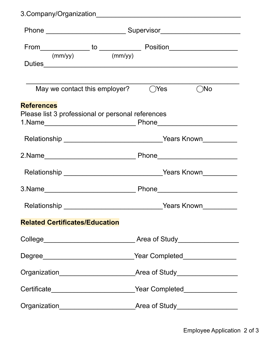|                                       | $(mm/yy)$ (mm/yy)                                 |                                                                                  |               |
|---------------------------------------|---------------------------------------------------|----------------------------------------------------------------------------------|---------------|
|                                       |                                                   |                                                                                  |               |
|                                       | May we contact this employer?                     | $\bigcirc$ Yes                                                                   | $\bigcirc$ No |
| <b>References</b>                     | Please list 3 professional or personal references |                                                                                  |               |
|                                       |                                                   | Relationship _________________________________Years Known_______________________ |               |
|                                       |                                                   |                                                                                  |               |
|                                       |                                                   |                                                                                  |               |
|                                       |                                                   |                                                                                  |               |
|                                       |                                                   |                                                                                  | Years Known   |
| <b>Related Certificates/Education</b> |                                                   |                                                                                  |               |
|                                       |                                                   |                                                                                  |               |
|                                       |                                                   |                                                                                  |               |
|                                       |                                                   |                                                                                  |               |
|                                       |                                                   | Certificate____________________________Year Completed___________________________ |               |
|                                       |                                                   |                                                                                  |               |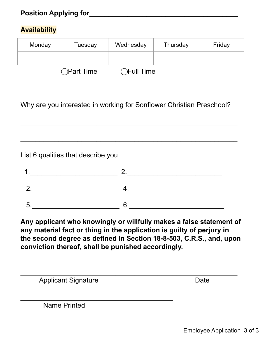#### **Availability**

| Monday | Tuesday    | Wednesday       | Thursday | Friday |
|--------|------------|-----------------|----------|--------|
|        |            |                 |          |        |
|        | ◯Part Time | <b>THE Time</b> |          |        |

Why are you interested in working for Sonflower Christian Preschool?

\_\_\_\_\_\_\_\_\_\_\_\_\_\_\_\_\_\_\_\_\_\_\_\_\_\_\_\_\_\_\_\_\_\_\_\_\_\_\_\_\_\_\_\_\_\_\_\_\_\_\_\_\_\_\_\_\_

\_\_\_\_\_\_\_\_\_\_\_\_\_\_\_\_\_\_\_\_\_\_\_\_\_\_\_\_\_\_\_\_\_\_\_\_\_\_\_\_\_\_\_\_\_\_\_\_\_\_\_\_\_\_\_\_\_

List 6 qualities that describe you

**Any applicant who knowingly or willfully makes a false statement of any material fact or thing in the application is guilty of perjury in the second degree as defined in Section 18-8-503, C.R.S., and, upon conviction thereof, shall be punished accordingly.**

| <b>Applicant Signature</b> | Date |
|----------------------------|------|
|                            |      |
| Name Printed               |      |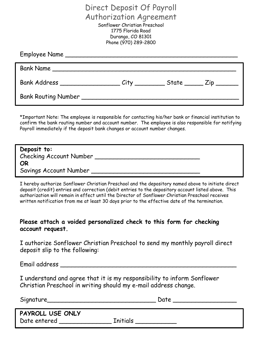Direct Deposit Of Payroll Authorization Agreement Sonflower Christian Preschool 1775 Florida Road Durango, CO 81301 Phone (970) 289-2800

| Bank Address ___________________________City ______________State _________Zip _________ |  |  |
|-----------------------------------------------------------------------------------------|--|--|
|                                                                                         |  |  |

\*Important Note: The employee is responsible for contacting his/her bank or financial institution to confirm the bank routing number and account number. The employee is also responsible for notifying Payroll immediately if the deposit bank changes or account number changes.

| Deposit to:             |  |
|-------------------------|--|
| Checking Account Number |  |
| OR                      |  |
| Savings Account Number  |  |

I hereby authorize Sonflower Christian Preschool and the depository named above to initiate direct deposit (credit) entries and correction (debit entries to the depository account listed above. This authorization will remain in effect until the Director of Sonflower Christian Preschool receives written notification from me at least 30 days prior to the effective date of the termination.

#### **Please attach a voided personalized check to this form for checking account request.**

I authorize Sonflower Christian Preschool to send my monthly payroll direct deposit slip to the following:

Email address \_\_\_\_\_\_\_\_\_\_\_\_\_\_\_\_\_\_\_\_\_\_\_\_\_\_\_\_\_\_\_\_\_\_\_\_\_\_\_\_\_\_\_\_\_\_\_

I understand and agree that it is my responsibility to inform Sonflower Christian Preschool in writing should my e-mail address change.

| Signature_                       | Date     |
|----------------------------------|----------|
| PAYROLL USE ONLY<br>Date entered | Initials |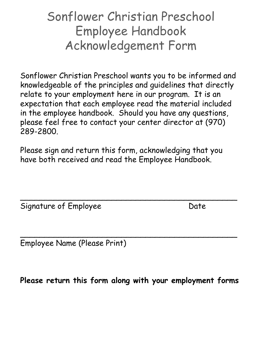### Sonflower Christian Preschool Employee Handbook Acknowledgement Form

Sonflower Christian Preschool wants you to be informed and knowledgeable of the principles and guidelines that directly relate to your employment here in our program. It is an expectation that each employee read the material included in the employee handbook. Should you have any questions, please feel free to contact your center director at (970) 289-2800.

Please sign and return this form, acknowledging that you have both received and read the Employee Handbook.

 $\overline{a}$  , and the set of the set of the set of the set of the set of the set of the set of the set of the set of the set of the set of the set of the set of the set of the set of the set of the set of the set of the set

Signature of Employee Date

 $\overline{a}$  , and the set of the set of the set of the set of the set of the set of the set of the set of the set of the set of the set of the set of the set of the set of the set of the set of the set of the set of the set Employee Name (Please Print)

**Please return this form along with your employment forms**